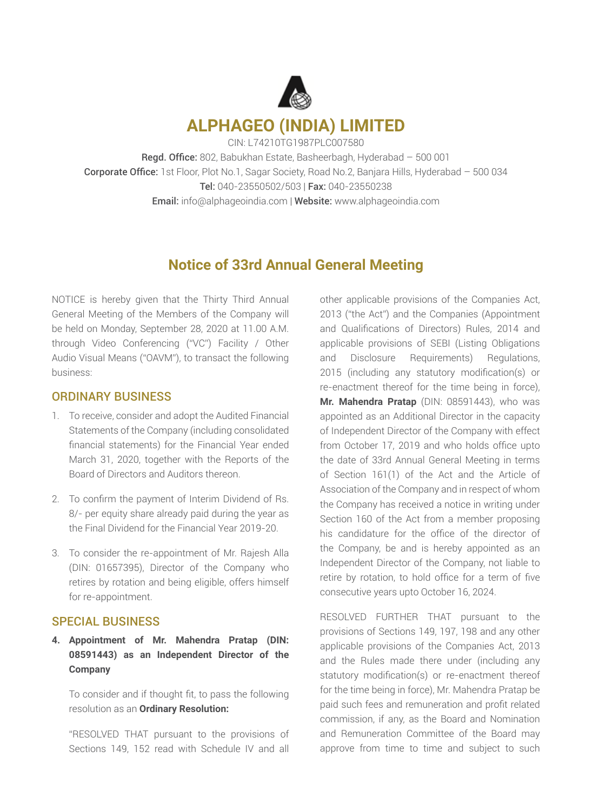

# **ALPHAGEO (INDIA) LIMITED**

CIN: L74210TG1987PLC007580

Regd. Office: 802, Babukhan Estate, Basheerbagh, Hyderabad – 500 001 Corporate Office: 1st Floor, Plot No.1, Sagar Society, Road No.2, Banjara Hills, Hyderabad - 500 034 Tel: 040-23550502/503 | Fax: 040-23550238 Email: info@alphageoindia.com | Website: www.alphageoindia.com

# **Notice of 33rd Annual General Meeting**

NOTICE is hereby given that the Thirty Third Annual General Meeting of the Members of the Company will be held on Monday, September 28, 2020 at 11.00 A.M. through Video Conferencing ("VC") Facility / Other Audio Visual Means ("OAVM"), to transact the following business:

# ORDINARY BUSINESS

- 1. To receive, consider and adopt the Audited Financial Statements of the Company (including consolidated financial statements) for the Financial Year ended March 31, 2020, together with the Reports of the Board of Directors and Auditors thereon.
- 2. To confirm the payment of Interim Dividend of Rs. 8/- per equity share already paid during the year as the Final Dividend for the Financial Year 2019-20.
- 3. To consider the re-appointment of Mr. Rajesh Alla (DIN: 01657395), Director of the Company who retires by rotation and being eligible, offers himself for re-appointment.

## SPECIAL BUSINESS

**4. Appointment of Mr. Mahendra Pratap (DIN: 08591443) as an Independent Director of the Company**

To consider and if thought fit, to pass the following resolution as an **Ordinary Resolution:** 

"RESOLVED THAT pursuant to the provisions of Sections 149, 152 read with Schedule IV and all other applicable provisions of the Companies Act, 2013 ("the Act") and the Companies (Appointment and Qualifications of Directors) Rules, 2014 and applicable provisions of SEBI (Listing Obligations and Disclosure Requirements) Regulations, 2015 (including any statutory modification(s) or re-enactment thereof for the time being in force), **Mr. Mahendra Pratap** (DIN: 08591443), who was appointed as an Additional Director in the capacity of Independent Director of the Company with effect from October 17, 2019 and who holds office upto the date of 33rd Annual General Meeting in terms of Section 161(1) of the Act and the Article of Association of the Company and in respect of whom the Company has received a notice in writing under Section 160 of the Act from a member proposing his candidature for the office of the director of the Company, be and is hereby appointed as an Independent Director of the Company, not liable to retire by rotation, to hold office for a term of five consecutive years upto October 16, 2024.

RESOLVED FURTHER THAT pursuant to the provisions of Sections 149, 197, 198 and any other applicable provisions of the Companies Act, 2013 and the Rules made there under (including any statutory modification(s) or re-enactment thereof for the time being in force), Mr. Mahendra Pratap be paid such fees and remuneration and profit related commission, if any, as the Board and Nomination and Remuneration Committee of the Board may approve from time to time and subject to such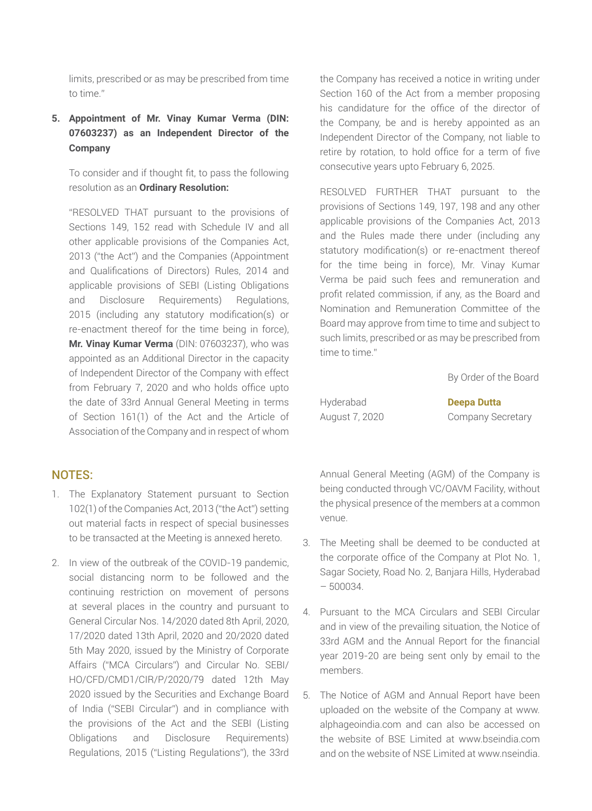limits, prescribed or as may be prescribed from time to time."

# **5. Appointment of Mr. Vinay Kumar Verma (DIN: 07603237) as an Independent Director of the Company**

To consider and if thought fit, to pass the following resolution as an **Ordinary Resolution:**

"RESOLVED THAT pursuant to the provisions of Sections 149, 152 read with Schedule IV and all other applicable provisions of the Companies Act, 2013 ("the Act") and the Companies (Appointment and Qualifications of Directors) Rules, 2014 and applicable provisions of SEBI (Listing Obligations and Disclosure Requirements) Regulations, 2015 (including any statutory modification(s) or re-enactment thereof for the time being in force), **Mr. Vinay Kumar Verma** (DIN: 07603237), who was appointed as an Additional Director in the capacity of Independent Director of the Company with effect from February 7, 2020 and who holds office upto the date of 33rd Annual General Meeting in terms of Section 161(1) of the Act and the Article of Association of the Company and in respect of whom

## NOTES:

- 1. The Explanatory Statement pursuant to Section 102(1) of the Companies Act, 2013 ("the Act") setting out material facts in respect of special businesses to be transacted at the Meeting is annexed hereto.
- 2. In view of the outbreak of the COVID-19 pandemic, social distancing norm to be followed and the continuing restriction on movement of persons at several places in the country and pursuant to General Circular Nos. 14/2020 dated 8th April, 2020, 17/2020 dated 13th April, 2020 and 20/2020 dated 5th May 2020, issued by the Ministry of Corporate Affairs ("MCA Circulars") and Circular No. SEBI/ HO/CFD/CMD1/CIR/P/2020/79 dated 12th May 2020 issued by the Securities and Exchange Board of India ("SEBI Circular") and in compliance with the provisions of the Act and the SEBI (Listing Obligations and Disclosure Requirements) Regulations, 2015 ("Listing Regulations"), the 33rd

the Company has received a notice in writing under Section 160 of the Act from a member proposing his candidature for the office of the director of the Company, be and is hereby appointed as an Independent Director of the Company, not liable to retire by rotation, to hold office for a term of five consecutive years upto February 6, 2025.

RESOLVED FURTHER THAT pursuant to the provisions of Sections 149, 197, 198 and any other applicable provisions of the Companies Act, 2013 and the Rules made there under (including any statutory modification(s) or re-enactment thereof for the time being in force), Mr. Vinay Kumar Verma be paid such fees and remuneration and profit related commission, if any, as the Board and Nomination and Remuneration Committee of the Board may approve from time to time and subject to such limits, prescribed or as may be prescribed from time to time."

By Order of the Board

Hyderabad **Deepa Dutta**

August 7, 2020 Company Secretary

Annual General Meeting (AGM) of the Company is being conducted through VC/OAVM Facility, without the physical presence of the members at a common venue.

- 3. The Meeting shall be deemed to be conducted at the corporate office of the Company at Plot No. 1, Sagar Society, Road No. 2, Banjara Hills, Hyderabad – 500034.
- 4. Pursuant to the MCA Circulars and SEBI Circular and in view of the prevailing situation, the Notice of 33rd AGM and the Annual Report for the financial year 2019-20 are being sent only by email to the members.
- 5. The Notice of AGM and Annual Report have been uploaded on the website of the Company at www. alphageoindia.com and can also be accessed on the website of BSE Limited at www.bseindia.com and on the website of NSE Limited at www.nseindia.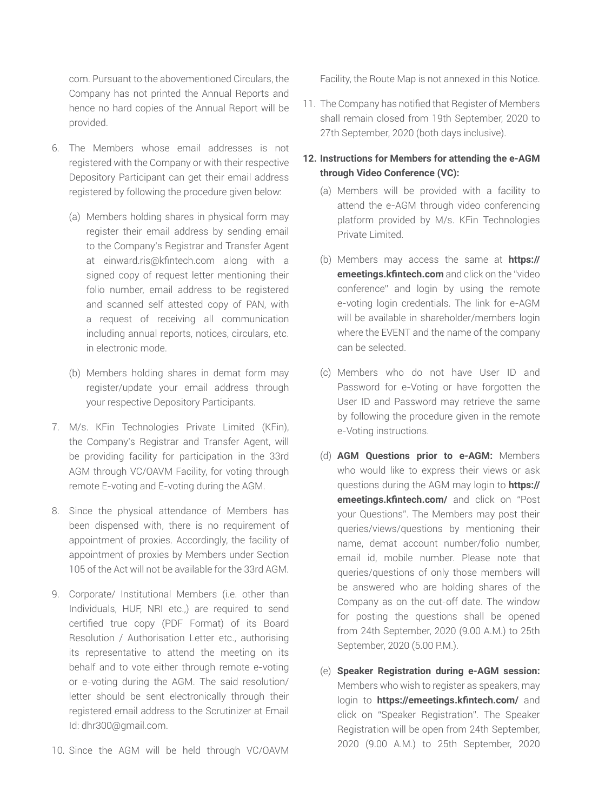com. Pursuant to the abovementioned Circulars, the Company has not printed the Annual Reports and hence no hard copies of the Annual Report will be provided.

- 6. The Members whose email addresses is not registered with the Company or with their respective Depository Participant can get their email address registered by following the procedure given below:
	- (a) Members holding shares in physical form may register their email address by sending email to the Company's Registrar and Transfer Agent at einward.ris@kfintech.com along with a signed copy of request letter mentioning their folio number, email address to be registered and scanned self attested copy of PAN, with a request of receiving all communication including annual reports, notices, circulars, etc. in electronic mode.
	- (b) Members holding shares in demat form may register/update your email address through your respective Depository Participants.
- 7. M/s. KFin Technologies Private Limited (KFin), the Company's Registrar and Transfer Agent, will be providing facility for participation in the 33rd AGM through VC/OAVM Facility, for voting through remote E-voting and E-voting during the AGM.
- 8. Since the physical attendance of Members has been dispensed with, there is no requirement of appointment of proxies. Accordingly, the facility of appointment of proxies by Members under Section 105 of the Act will not be available for the 33rd AGM.
- 9. Corporate/ Institutional Members (i.e. other than Individuals, HUF, NRI etc.,) are required to send certified true copy (PDF Format) of its Board Resolution / Authorisation Letter etc., authorising its representative to attend the meeting on its behalf and to vote either through remote e-voting or e-voting during the AGM. The said resolution/ letter should be sent electronically through their registered email address to the Scrutinizer at Email Id: dhr300@gmail.com.
- 10. Since the AGM will be held through VC/OAVM

Facility, the Route Map is not annexed in this Notice.

11. The Company has notified that Register of Members shall remain closed from 19th September, 2020 to 27th September, 2020 (both days inclusive).

## **12. Instructions for Members for attending the e-AGM through Video Conference (VC):**

- (a) Members will be provided with a facility to attend the e-AGM through video conferencing platform provided by M/s. KFin Technologies Private Limited.
- (b) Members may access the same at **https:// emeetings.kfintech.com** and click on the "video conference" and login by using the remote e-voting login credentials. The link for e-AGM will be available in shareholder/members login where the EVENT and the name of the company can be selected.
- (c) Members who do not have User ID and Password for e-Voting or have forgotten the User ID and Password may retrieve the same by following the procedure given in the remote e-Voting instructions.
- (d) **AGM Questions prior to e-AGM:** Members who would like to express their views or ask questions during the AGM may login to **https:// emeetings.kfintech.com/** and click on "Post your Questions". The Members may post their queries/views/questions by mentioning their name, demat account number/folio number, email id, mobile number. Please note that queries/questions of only those members will be answered who are holding shares of the Company as on the cut-off date. The window for posting the questions shall be opened from 24th September, 2020 (9.00 A.M.) to 25th September, 2020 (5.00 P.M.).
- (e) **Speaker Registration during e-AGM session:**  Members who wish to register as speakers, may login to **https://emeetings.kfintech.com/** and click on "Speaker Registration". The Speaker Registration will be open from 24th September, 2020 (9.00 A.M.) to 25th September, 2020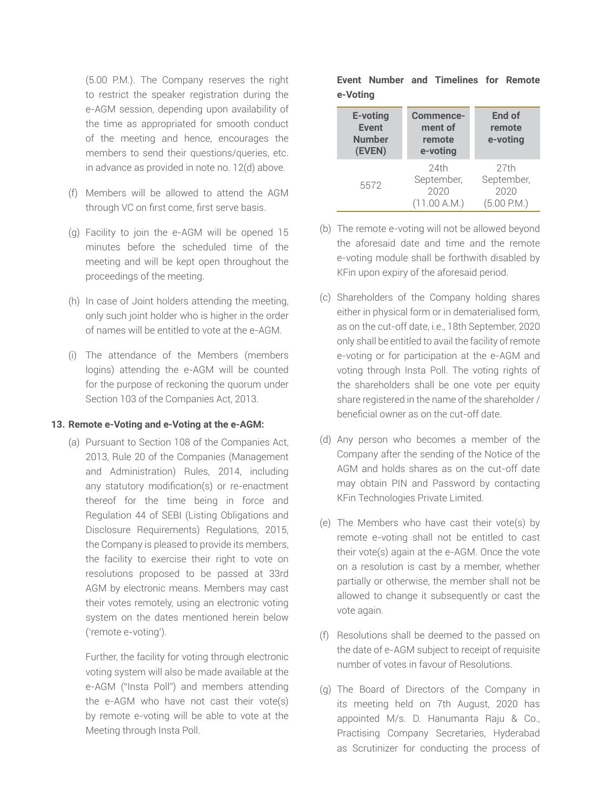(5.00 P.M.). The Company reserves the right to restrict the speaker registration during the e-AGM session, depending upon availability of the time as appropriated for smooth conduct of the meeting and hence, encourages the members to send their questions/queries, etc. in advance as provided in note no. 12(d) above.

- (f) Members will be allowed to attend the AGM through VC on first come, first serve basis.
- (g) Facility to join the e-AGM will be opened 15 minutes before the scheduled time of the meeting and will be kept open throughout the proceedings of the meeting.
- (h) In case of Joint holders attending the meeting, only such joint holder who is higher in the order of names will be entitled to vote at the e-AGM.
- (i) The attendance of the Members (members logins) attending the e-AGM will be counted for the purpose of reckoning the quorum under Section 103 of the Companies Act, 2013.

#### **13. Remote e-Voting and e-Voting at the e-AGM:**

(a) Pursuant to Section 108 of the Companies Act, 2013, Rule 20 of the Companies (Management and Administration) Rules, 2014, including any statutory modification(s) or re-enactment thereof for the time being in force and Regulation 44 of SEBI (Listing Obligations and Disclosure Requirements) Regulations, 2015, the Company is pleased to provide its members, the facility to exercise their right to vote on resolutions proposed to be passed at 33rd AGM by electronic means. Members may cast their votes remotely, using an electronic voting system on the dates mentioned herein below ('remote e-voting').

Further, the facility for voting through electronic voting system will also be made available at the e-AGM ("Insta Poll") and members attending the e-AGM who have not cast their vote(s) by remote e-voting will be able to vote at the Meeting through Insta Poll.

### **Event Number and Timelines for Remote e-Voting**

| E-voting<br><b>Event</b><br><b>Number</b><br>(EVEN) | <b>Commence-</b><br>ment of<br>remote<br>e-voting | End of<br>remote<br>e-voting              |
|-----------------------------------------------------|---------------------------------------------------|-------------------------------------------|
| 5572                                                | 24th<br>September,<br>2020<br>(11.00 A.M.)        | 27th<br>September,<br>2020<br>(5.00 P.M.) |

- (b) The remote e-voting will not be allowed beyond the aforesaid date and time and the remote e-voting module shall be forthwith disabled by KFin upon expiry of the aforesaid period.
- (c) Shareholders of the Company holding shares either in physical form or in dematerialised form, as on the cut-off date, i.e., 18th September, 2020 only shall be entitled to avail the facility of remote e-voting or for participation at the e-AGM and voting through Insta Poll. The voting rights of the shareholders shall be one vote per equity share registered in the name of the shareholder / beneficial owner as on the cut-off date.
- (d) Any person who becomes a member of the Company after the sending of the Notice of the AGM and holds shares as on the cut-off date may obtain PIN and Password by contacting KFin Technologies Private Limited.
- (e) The Members who have cast their vote(s) by remote e-voting shall not be entitled to cast their vote(s) again at the e-AGM. Once the vote on a resolution is cast by a member, whether partially or otherwise, the member shall not be allowed to change it subsequently or cast the vote again.
- (f) Resolutions shall be deemed to the passed on the date of e-AGM subject to receipt of requisite number of votes in favour of Resolutions.
- (g) The Board of Directors of the Company in its meeting held on 7th August, 2020 has appointed M/s. D. Hanumanta Raju & Co., Practising Company Secretaries, Hyderabad as Scrutinizer for conducting the process of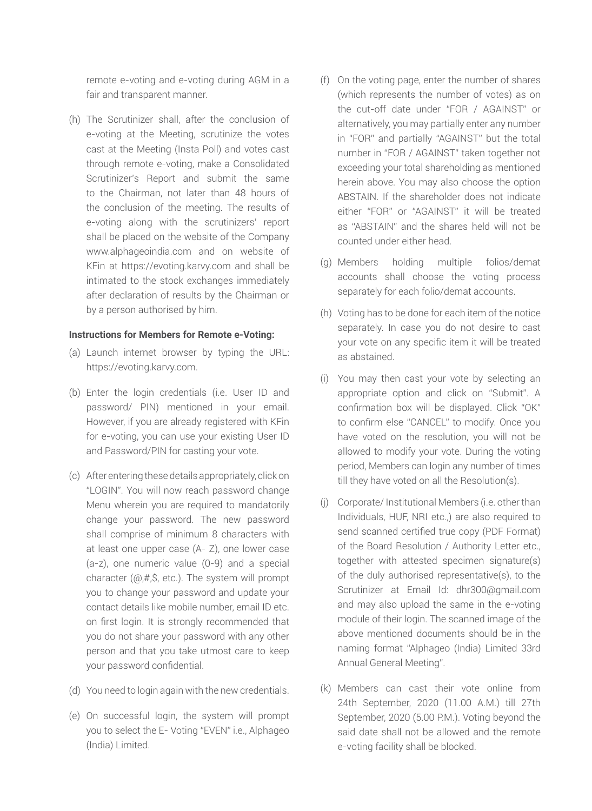remote e-voting and e-voting during AGM in a fair and transparent manner.

(h) The Scrutinizer shall, after the conclusion of e-voting at the Meeting, scrutinize the votes cast at the Meeting (Insta Poll) and votes cast through remote e-voting, make a Consolidated Scrutinizer's Report and submit the same to the Chairman, not later than 48 hours of the conclusion of the meeting. The results of e-voting along with the scrutinizers' report shall be placed on the website of the Company www.alphageoindia.com and on website of KFin at https://evoting.karvy.com and shall be intimated to the stock exchanges immediately after declaration of results by the Chairman or by a person authorised by him.

#### **Instructions for Members for Remote e-Voting:**

- (a) Launch internet browser by typing the URL: https://evoting.karvy.com.
- (b) Enter the login credentials (i.e. User ID and password/ PIN) mentioned in your email. However, if you are already registered with KFin for e-voting, you can use your existing User ID and Password/PIN for casting your vote.
- (c) After entering these details appropriately, click on "LOGIN". You will now reach password change Menu wherein you are required to mandatorily change your password. The new password shall comprise of minimum 8 characters with at least one upper case (A- Z), one lower case (a-z), one numeric value (0-9) and a special character (@,#,\$, etc.). The system will prompt you to change your password and update your contact details like mobile number, email ID etc. on first login. It is strongly recommended that you do not share your password with any other person and that you take utmost care to keep your password confidential.
- (d) You need to login again with the new credentials.
- (e) On successful login, the system will prompt you to select the E- Voting "EVEN" i.e., Alphageo (India) Limited.
- (f) On the voting page, enter the number of shares (which represents the number of votes) as on the cut-off date under "FOR / AGAINST" or alternatively, you may partially enter any number in "FOR" and partially "AGAINST" but the total number in "FOR / AGAINST" taken together not exceeding your total shareholding as mentioned herein above. You may also choose the option ABSTAIN. If the shareholder does not indicate either "FOR" or "AGAINST" it will be treated as "ABSTAIN" and the shares held will not be counted under either head.
- (g) Members holding multiple folios/demat accounts shall choose the voting process separately for each folio/demat accounts.
- (h) Voting has to be done for each item of the notice separately. In case you do not desire to cast your vote on any specific item it will be treated as abstained.
- (i) You may then cast your vote by selecting an appropriate option and click on "Submit". A confirmation box will be displayed. Click "OK" to confirm else "CANCEL" to modify. Once you have voted on the resolution, you will not be allowed to modify your vote. During the voting period, Members can login any number of times till they have voted on all the Resolution(s).
- (j) Corporate/ Institutional Members (i.e. other than Individuals, HUF, NRI etc.,) are also required to send scanned certified true copy (PDF Format) of the Board Resolution / Authority Letter etc., together with attested specimen signature(s) of the duly authorised representative(s), to the Scrutinizer at Email Id: dhr300@gmail.com and may also upload the same in the e-voting module of their login. The scanned image of the above mentioned documents should be in the naming format "Alphageo (India) Limited 33rd Annual General Meeting".
- (k) Members can cast their vote online from 24th September, 2020 (11.00 A.M.) till 27th September, 2020 (5.00 P.M.). Voting beyond the said date shall not be allowed and the remote e-voting facility shall be blocked.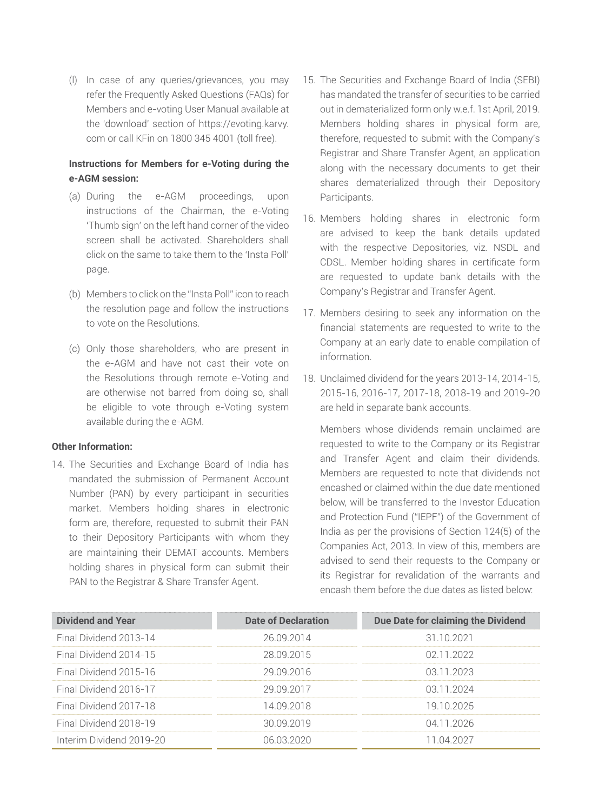(l) In case of any queries/grievances, you may refer the Frequently Asked Questions (FAQs) for Members and e-voting User Manual available at the 'download' section of https://evoting.karvy. com or call KFin on 1800 345 4001 (toll free).

## **Instructions for Members for e-Voting during the e-AGM session:**

- (a) During the e-AGM proceedings, upon instructions of the Chairman, the e-Voting 'Thumb sign' on the left hand corner of the video screen shall be activated. Shareholders shall click on the same to take them to the 'Insta Poll' page.
- (b) Members to click on the "Insta Poll" icon to reach the resolution page and follow the instructions to vote on the Resolutions.
- (c) Only those shareholders, who are present in the e-AGM and have not cast their vote on the Resolutions through remote e-Voting and are otherwise not barred from doing so, shall be eligible to vote through e-Voting system available during the e-AGM.

#### **Other Information:**

14. The Securities and Exchange Board of India has mandated the submission of Permanent Account Number (PAN) by every participant in securities market. Members holding shares in electronic form are, therefore, requested to submit their PAN to their Depository Participants with whom they are maintaining their DEMAT accounts. Members holding shares in physical form can submit their PAN to the Registrar & Share Transfer Agent.

- 15. The Securities and Exchange Board of India (SEBI) has mandated the transfer of securities to be carried out in dematerialized form only w.e.f. 1st April, 2019. Members holding shares in physical form are, therefore, requested to submit with the Company's Registrar and Share Transfer Agent, an application along with the necessary documents to get their shares dematerialized through their Depository Participants.
- 16. Members holding shares in electronic form are advised to keep the bank details updated with the respective Depositories, viz. NSDL and CDSL. Member holding shares in certificate form are requested to update bank details with the Company's Registrar and Transfer Agent.
- 17. Members desiring to seek any information on the financial statements are requested to write to the Company at an early date to enable compilation of information.
- 18. Unclaimed dividend for the years 2013-14, 2014-15, 2015-16, 2016-17, 2017-18, 2018-19 and 2019-20 are held in separate bank accounts.

Members whose dividends remain unclaimed are requested to write to the Company or its Registrar and Transfer Agent and claim their dividends. Members are requested to note that dividends not encashed or claimed within the due date mentioned below, will be transferred to the Investor Education and Protection Fund ("IEPF") of the Government of India as per the provisions of Section 124(5) of the Companies Act, 2013. In view of this, members are advised to send their requests to the Company or its Registrar for revalidation of the warrants and encash them before the due dates as listed below:

| <b>Dividend and Year</b> | <b>Date of Declaration</b> | Due Date for claiming the Dividend |
|--------------------------|----------------------------|------------------------------------|
| Final Dividend 2013-14   | 26.09.2014                 | 31102021                           |
| Final Dividend 2014-15   | 28.09.2015                 | 02 11 2022                         |
| Final Dividend 2015-16   | 29.09.2016                 | 03 11 2023                         |
| Final Dividend 2016-17   | 29.09.2017                 | 03 11 2024                         |
| Final Dividend 2017-18   | 14 N9 2018                 | 19 10 2025                         |
| Final Dividend 2018-19   | 30.09.2019                 | 04 11 2026                         |
| Interim Dividend 2019-20 | 06 03 2020                 | 11 04 2027                         |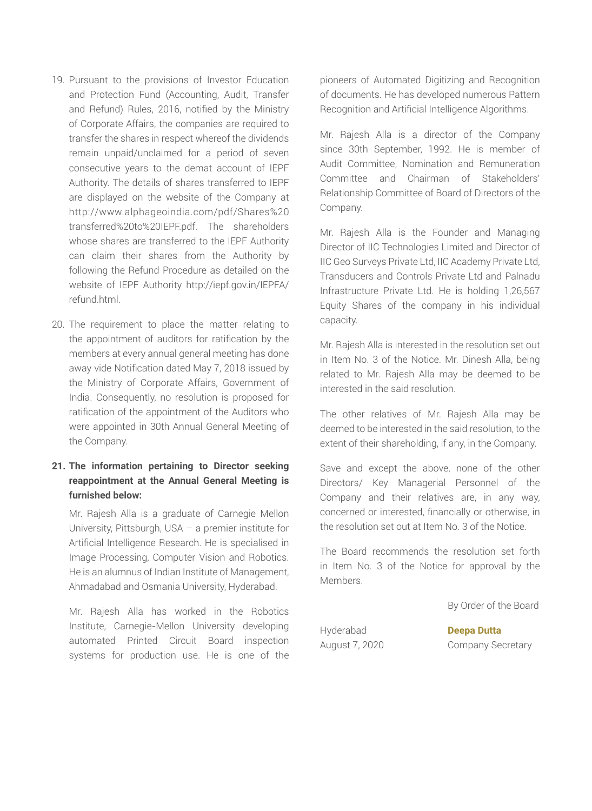- 19. Pursuant to the provisions of Investor Education and Protection Fund (Accounting, Audit, Transfer and Refund) Rules, 2016, notified by the Ministry of Corporate Affairs, the companies are required to transfer the shares in respect whereof the dividends remain unpaid/unclaimed for a period of seven consecutive years to the demat account of IEPF Authority. The details of shares transferred to IEPF are displayed on the website of the Company at http://www.alphageoindia.com/pdf/Shares%20 transferred%20to%20IEPF.pdf. The shareholders whose shares are transferred to the IEPF Authority can claim their shares from the Authority by following the Refund Procedure as detailed on the website of IEPF Authority http://iepf.gov.in/IEPFA/ refund.html.
- 20. The requirement to place the matter relating to the appointment of auditors for ratification by the members at every annual general meeting has done away vide Notification dated May 7, 2018 issued by the Ministry of Corporate Affairs, Government of India. Consequently, no resolution is proposed for ratification of the appointment of the Auditors who were appointed in 30th Annual General Meeting of the Company.

# **21. The information pertaining to Director seeking reappointment at the Annual General Meeting is furnished below:**

Mr. Rajesh Alla is a graduate of Carnegie Mellon University, Pittsburgh, USA – a premier institute for Artificial Intelligence Research. He is specialised in Image Processing, Computer Vision and Robotics. He is an alumnus of Indian Institute of Management, Ahmadabad and Osmania University, Hyderabad.

Mr. Rajesh Alla has worked in the Robotics Institute, Carnegie-Mellon University developing automated Printed Circuit Board inspection systems for production use. He is one of the

pioneers of Automated Digitizing and Recognition of documents. He has developed numerous Pattern Recognition and Artificial Intelligence Algorithms.

Mr. Rajesh Alla is a director of the Company since 30th September, 1992. He is member of Audit Committee, Nomination and Remuneration Committee and Chairman of Stakeholders' Relationship Committee of Board of Directors of the Company.

Mr. Rajesh Alla is the Founder and Managing Director of IIC Technologies Limited and Director of IIC Geo Surveys Private Ltd, IIC Academy Private Ltd, Transducers and Controls Private Ltd and Palnadu Infrastructure Private Ltd. He is holding 1,26,567 Equity Shares of the company in his individual capacity.

Mr. Rajesh Alla is interested in the resolution set out in Item No. 3 of the Notice. Mr. Dinesh Alla, being related to Mr. Rajesh Alla may be deemed to be interested in the said resolution.

The other relatives of Mr. Rajesh Alla may be deemed to be interested in the said resolution, to the extent of their shareholding, if any, in the Company.

Save and except the above, none of the other Directors/ Key Managerial Personnel of the Company and their relatives are, in any way, concerned or interested, financially or otherwise, in the resolution set out at Item No. 3 of the Notice.

The Board recommends the resolution set forth in Item No. 3 of the Notice for approval by the Members.

By Order of the Board

Hyderabad **Deepa Dutta**

August 7, 2020 Company Secretary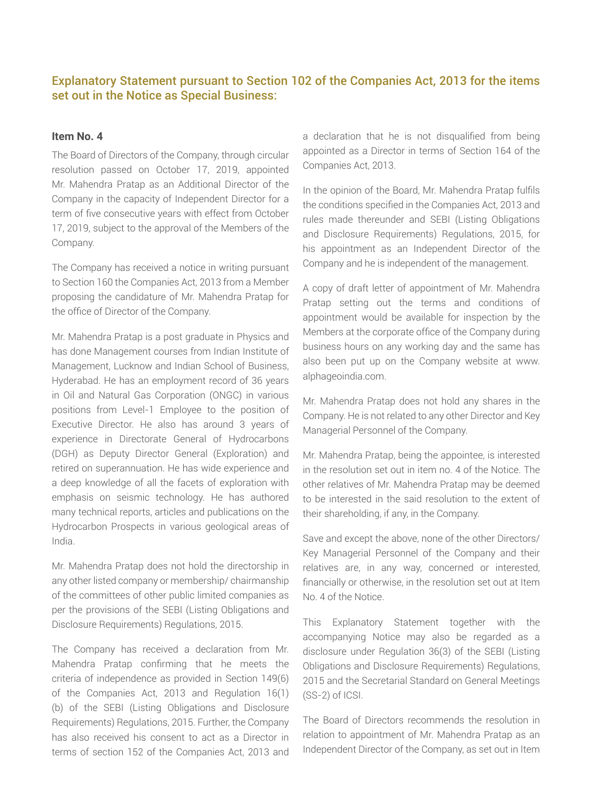# Explanatory Statement pursuant to Section 102 of the Companies Act, 2013 for the items set out in the Notice as Special Business:

#### **Item No. 4**

The Board of Directors of the Company, through circular resolution passed on October 17, 2019, appointed Mr. Mahendra Pratap as an Additional Director of the Company in the capacity of Independent Director for a term of five consecutive years with effect from October 17, 2019, subject to the approval of the Members of the Company.

The Company has received a notice in writing pursuant to Section 160 the Companies Act, 2013 from a Member proposing the candidature of Mr. Mahendra Pratap for the office of Director of the Company.

Mr. Mahendra Pratap is a post graduate in Physics and has done Management courses from Indian Institute of Management, Lucknow and Indian School of Business, Hyderabad. He has an employment record of 36 years in Oil and Natural Gas Corporation (ONGC) in various positions from Level-1 Employee to the position of Executive Director. He also has around 3 years of experience in Directorate General of Hydrocarbons (DGH) as Deputy Director General (Exploration) and retired on superannuation. He has wide experience and a deep knowledge of all the facets of exploration with emphasis on seismic technology. He has authored many technical reports, articles and publications on the Hydrocarbon Prospects in various geological areas of India.

Mr. Mahendra Pratap does not hold the directorship in any other listed company or membership/ chairmanship of the committees of other public limited companies as per the provisions of the SEBI (Listing Obligations and Disclosure Requirements) Regulations, 2015.

The Company has received a declaration from Mr. Mahendra Pratap confirming that he meets the criteria of independence as provided in Section 149(6) of the Companies Act, 2013 and Regulation 16(1) (b) of the SEBI (Listing Obligations and Disclosure Requirements) Regulations, 2015. Further, the Company has also received his consent to act as a Director in terms of section 152 of the Companies Act, 2013 and

a declaration that he is not disqualified from being appointed as a Director in terms of Section 164 of the Companies Act, 2013.

In the opinion of the Board, Mr. Mahendra Pratap fulfils the conditions specified in the Companies Act, 2013 and rules made thereunder and SEBI (Listing Obligations and Disclosure Requirements) Regulations, 2015, for his appointment as an Independent Director of the Company and he is independent of the management.

A copy of draft letter of appointment of Mr. Mahendra Pratap setting out the terms and conditions of appointment would be available for inspection by the Members at the corporate office of the Company during business hours on any working day and the same has also been put up on the Company website at www. alphageoindia.com.

Mr. Mahendra Pratap does not hold any shares in the Company. He is not related to any other Director and Key Managerial Personnel of the Company.

Mr. Mahendra Pratap, being the appointee, is interested in the resolution set out in item no. 4 of the Notice. The other relatives of Mr. Mahendra Pratap may be deemed to be interested in the said resolution to the extent of their shareholding, if any, in the Company.

Save and except the above, none of the other Directors/ Key Managerial Personnel of the Company and their relatives are, in any way, concerned or interested, financially or otherwise, in the resolution set out at Item No. 4 of the Notice.

This Explanatory Statement together with the accompanying Notice may also be regarded as a disclosure under Regulation 36(3) of the SEBI (Listing Obligations and Disclosure Requirements) Regulations, 2015 and the Secretarial Standard on General Meetings (SS-2) of ICSI.

The Board of Directors recommends the resolution in relation to appointment of Mr. Mahendra Pratap as an Independent Director of the Company, as set out in Item